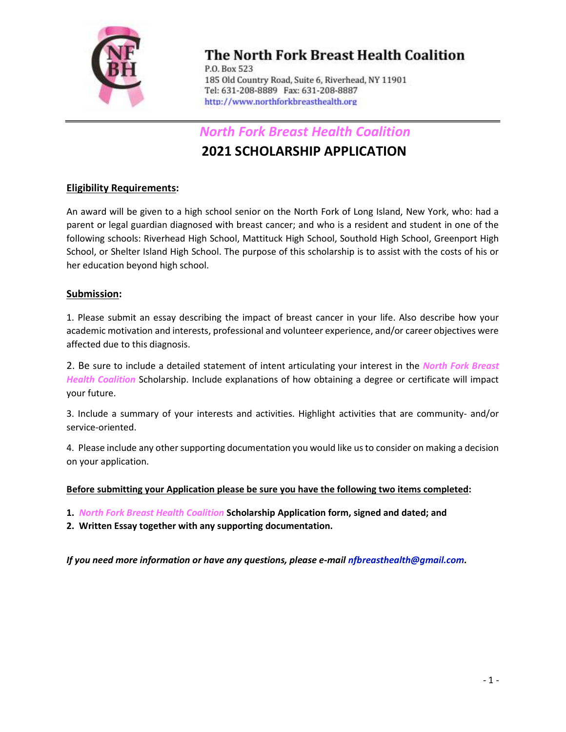

# The North Fork Breast Health Coalition

P.O. Box 523 185 Old Country Road, Suite 6, Riverhead, NY 11901 Tel: 631-208-8889 Fax: 631-208-8887 http://www.northforkbreasthealth.org

North Fork Breast Health Coalition

## 2021 SCHOLARSHIP APPLICATION

#### Eligibility Requirements:

An award will be given to a high school senior on the North Fork of Long Island, New York, who: had a parent or legal guardian diagnosed with breast cancer; and who is a resident and student in one of the following schools: Riverhead High School, Mattituck High School, Southold High School, Greenport High School, or Shelter Island High School. The purpose of this scholarship is to assist with the costs of his or her education beyond high school.

#### Submission:

1. Please submit an essay describing the impact of breast cancer in your life. Also describe how your academic motivation and interests, professional and volunteer experience, and/or career objectives were affected due to this diagnosis.

2. Be sure to include a detailed statement of intent articulating your interest in the North Fork Breast Health Coalition Scholarship. Include explanations of how obtaining a degree or certificate will impact your future.

3. Include a summary of your interests and activities. Highlight activities that are community- and/or service-oriented.

4. Please include any other supporting documentation you would like us to consider on making a decision on your application.

Before submitting your Application please be sure you have the following two items completed:

1. North Fork Breast Health Coalition Scholarship Application form, signed and dated; and

2. Written Essay together with any supporting documentation.

If you need more information or have any questions, please e-mail nfbreasthealth@gmail.com.